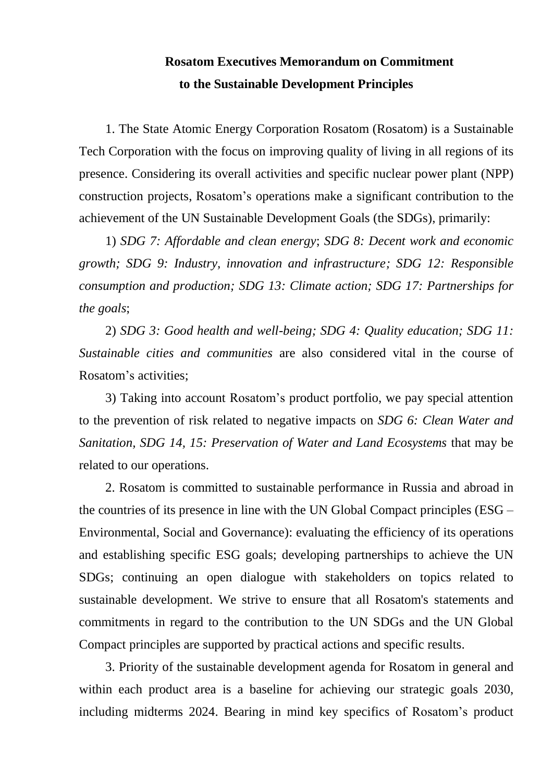## **Rosatom Executives Memorandum on Commitment to the Sustainable Development Principles**

1. The State Atomic Energy Corporation Rosatom (Rosatom) is a Sustainable Tech Corporation with the focus on improving quality of living in all regions of its presence. Considering its overall activities and specific nuclear power plant (NPP) construction projects, Rosatom's operations make a significant contribution to the achievement of the UN Sustainable Development Goals (the SDGs), primarily:

1) *SDG 7: Affordable and clean energy*; *SDG 8: Decent work and economic growth; SDG 9: Industry, innovation and infrastructure; SDG 12: Responsible consumption and production; SDG 13: Climate action; SDG 17: Partnerships for the goals*;

2) *SDG 3: Good health and well-being; SDG 4: Quality education; SDG 11: Sustainable cities and communities* are also considered vital in the course of Rosatom's activities;

3) Taking into account Rosatom's product portfolio, we pay special attention to the prevention of risk related to negative impacts on *SDG 6: Clean Water and Sanitation, SDG 14, 15: Preservation of Water and Land Ecosystems* that may be related to our operations.

2. Rosatom is committed to sustainable performance in Russia and abroad in the countries of its presence in line with the UN Global Compact principles (ESG – Environmental, Social and Governance): evaluating the efficiency of its operations and establishing specific ESG goals; developing partnerships to achieve the UN SDGs; continuing an open dialogue with stakeholders on topics related to sustainable development. We strive to ensure that all Rosatom's statements and commitments in regard to the contribution to the UN SDGs and the UN Global Compact principles are supported by practical actions and specific results.

3. Priority of the sustainable development agenda for Rosatom in general and within each product area is a baseline for achieving our strategic goals 2030, including midterms 2024. Bearing in mind key specifics of Rosatom's product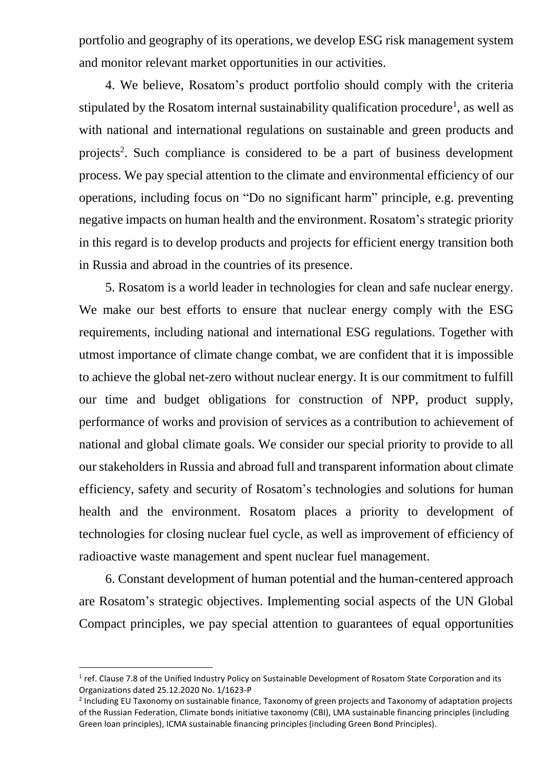portfolio and geography of its operations, we develop ESG risk management system and monitor relevant market opportunities in our activities.

4. We believe, Rosatom's product portfolio should comply with the criteria stipulated by the Rosatom internal sustainability qualification procedure<sup>1</sup>, as well as with national and international regulations on sustainable and green products and projects<sup>2</sup>. Such compliance is considered to be a part of business development process. We pay special attention to the climate and environmental efficiency of our operations, including focus on "Do no significant harm" principle, e.g. preventing negative impacts on human health and the environment. Rosatom's strategic priority in this regard is to develop products and projects for efficient energy transition both in Russia and abroad in the countries of its presence.

5. Rosatom is a world leader in technologies for clean and safe nuclear energy. We make our best efforts to ensure that nuclear energy comply with the ESG requirements, including national and international ESG regulations. Together with utmost importance of climate change combat, we are confident that it is impossible to achieve the global net-zero without nuclear energy. It is our commitment to fulfill our time and budget obligations for construction of NPP, product supply, performance of works and provision of services as a contribution to achievement of national and global climate goals. We consider our special priority to provide to all our stakeholders in Russia and abroad full and transparent information about climate efficiency, safety and security of Rosatom's technologies and solutions for human health and the environment. Rosatom places a priority to development of technologies for closing nuclear fuel cycle, as well as improvement of efficiency of radioactive waste management and spent nuclear fuel management.

6. Constant development of human potential and the human-centered approach are Rosatom's strategic objectives. Implementing social aspects of the UN Global Compact principles, we pay special attention to guarantees of equal opportunities

**.** 

 $1$  ref. Clause 7.8 of the Unified Industry Policy on Sustainable Development of Rosatom State Corporation and its Organizations dated 25.12.2020 No. 1/1623-P

<sup>&</sup>lt;sup>2</sup> Including EU Taxonomy on sustainable finance, Taxonomy of green projects and Taxonomy of adaptation projects of the Russian Federation, Climate bonds initiative taxonomy (CBI), LMA sustainable financing principles (including Green loan principles), ICMA sustainable financing principles (including Green Bond Principles).